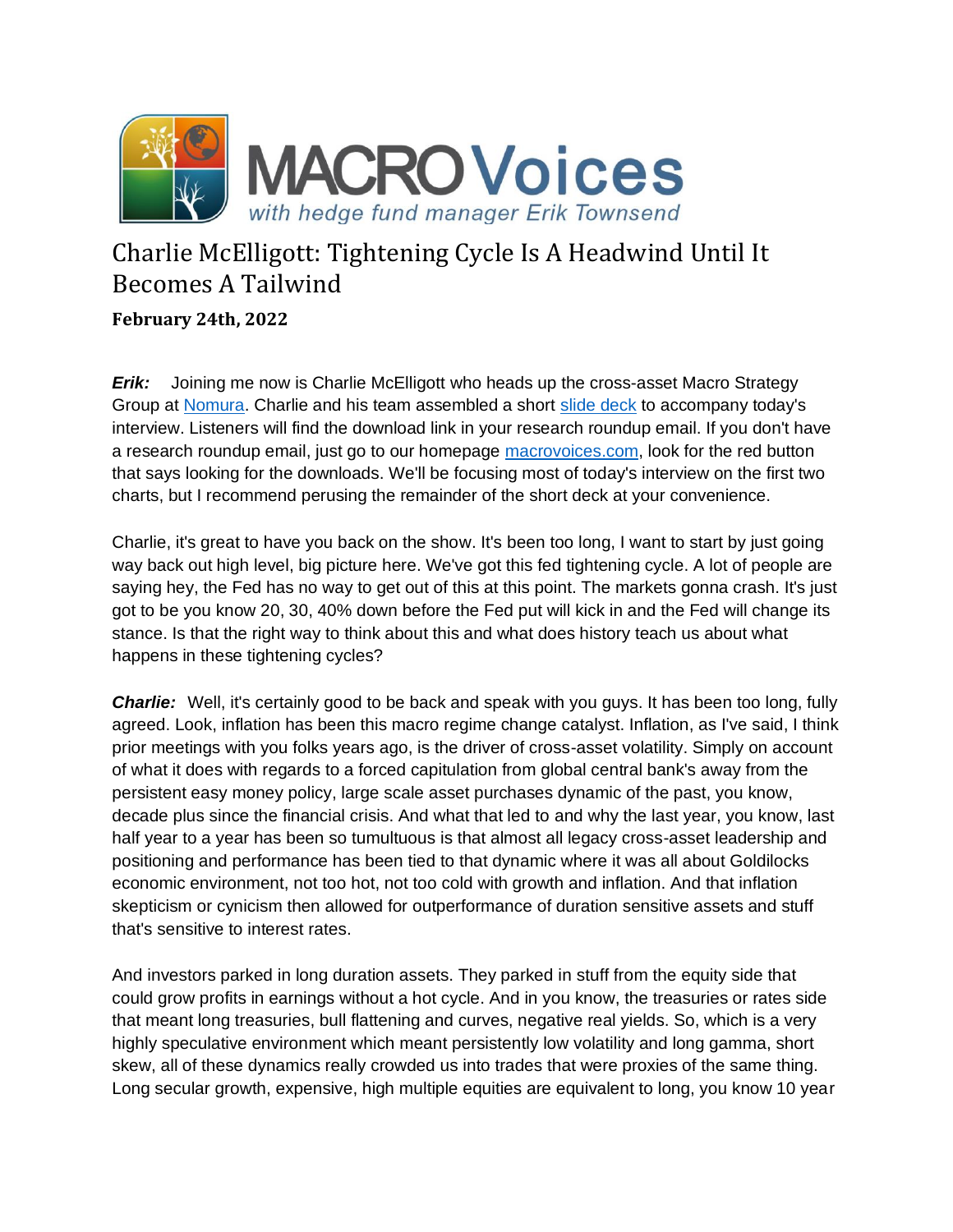

## Charlie McElligott: Tightening Cycle Is A Headwind Until It Becomes A Tailwind

**February 24th, 2022**

*Erik:* Joining me now is Charlie McElligott who heads up the cross-asset Macro Strategy Group at [Nomura.](https://www.nomura.com/) Charlie and his team assembled a short [slide deck](https://www.macrovoices.com/guest-content/list-guest-publications/4550-macrovoices-312-charlie-mcelligott-charts/file) to accompany today's interview. Listeners will find the download link in your research roundup email. If you don't have a research roundup email, just go to our homepage [macrovoices.com,](https://www.macrovoices.com/) look for the red button that says looking for the downloads. We'll be focusing most of today's interview on the first two charts, but I recommend perusing the remainder of the short deck at your convenience.

Charlie, it's great to have you back on the show. It's been too long, I want to start by just going way back out high level, big picture here. We've got this fed tightening cycle. A lot of people are saying hey, the Fed has no way to get out of this at this point. The markets gonna crash. It's just got to be you know 20, 30, 40% down before the Fed put will kick in and the Fed will change its stance. Is that the right way to think about this and what does history teach us about what happens in these tightening cycles?

*Charlie:* Well, it's certainly good to be back and speak with you guys. It has been too long, fully agreed. Look, inflation has been this macro regime change catalyst. Inflation, as I've said, I think prior meetings with you folks years ago, is the driver of cross-asset volatility. Simply on account of what it does with regards to a forced capitulation from global central bank's away from the persistent easy money policy, large scale asset purchases dynamic of the past, you know, decade plus since the financial crisis. And what that led to and why the last year, you know, last half year to a year has been so tumultuous is that almost all legacy cross-asset leadership and positioning and performance has been tied to that dynamic where it was all about Goldilocks economic environment, not too hot, not too cold with growth and inflation. And that inflation skepticism or cynicism then allowed for outperformance of duration sensitive assets and stuff that's sensitive to interest rates.

And investors parked in long duration assets. They parked in stuff from the equity side that could grow profits in earnings without a hot cycle. And in you know, the treasuries or rates side that meant long treasuries, bull flattening and curves, negative real yields. So, which is a very highly speculative environment which meant persistently low volatility and long gamma, short skew, all of these dynamics really crowded us into trades that were proxies of the same thing. Long secular growth, expensive, high multiple equities are equivalent to long, you know 10 year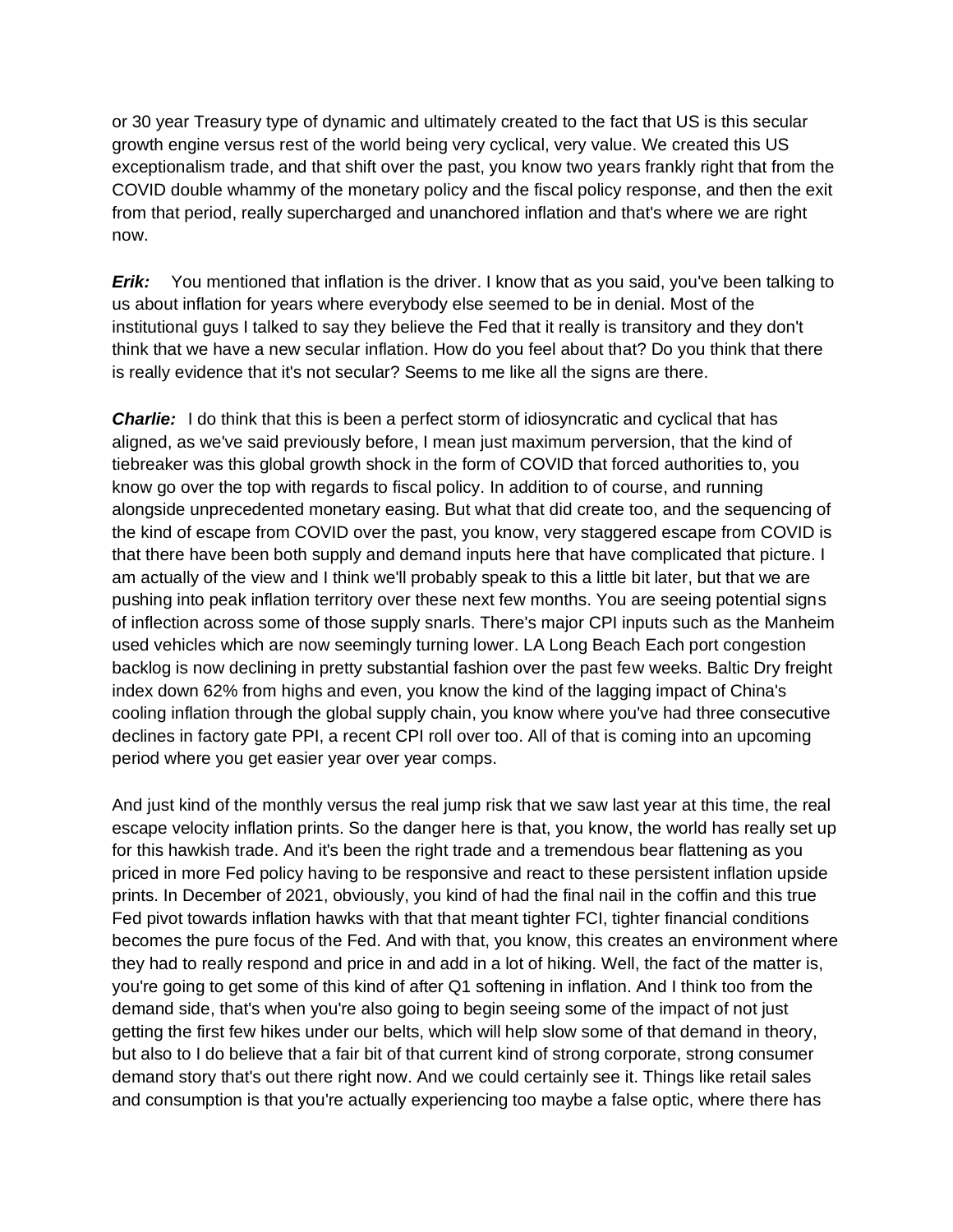or 30 year Treasury type of dynamic and ultimately created to the fact that US is this secular growth engine versus rest of the world being very cyclical, very value. We created this US exceptionalism trade, and that shift over the past, you know two years frankly right that from the COVID double whammy of the monetary policy and the fiscal policy response, and then the exit from that period, really supercharged and unanchored inflation and that's where we are right now.

*Erik:* You mentioned that inflation is the driver. I know that as you said, you've been talking to us about inflation for years where everybody else seemed to be in denial. Most of the institutional guys I talked to say they believe the Fed that it really is transitory and they don't think that we have a new secular inflation. How do you feel about that? Do you think that there is really evidence that it's not secular? Seems to me like all the signs are there.

**Charlie:** I do think that this is been a perfect storm of idiosyncratic and cyclical that has aligned, as we've said previously before, I mean just maximum perversion, that the kind of tiebreaker was this global growth shock in the form of COVID that forced authorities to, you know go over the top with regards to fiscal policy. In addition to of course, and running alongside unprecedented monetary easing. But what that did create too, and the sequencing of the kind of escape from COVID over the past, you know, very staggered escape from COVID is that there have been both supply and demand inputs here that have complicated that picture. I am actually of the view and I think we'll probably speak to this a little bit later, but that we are pushing into peak inflation territory over these next few months. You are seeing potential signs of inflection across some of those supply snarls. There's major CPI inputs such as the Manheim used vehicles which are now seemingly turning lower. LA Long Beach Each port congestion backlog is now declining in pretty substantial fashion over the past few weeks. Baltic Dry freight index down 62% from highs and even, you know the kind of the lagging impact of China's cooling inflation through the global supply chain, you know where you've had three consecutive declines in factory gate PPI, a recent CPI roll over too. All of that is coming into an upcoming period where you get easier year over year comps.

And just kind of the monthly versus the real jump risk that we saw last year at this time, the real escape velocity inflation prints. So the danger here is that, you know, the world has really set up for this hawkish trade. And it's been the right trade and a tremendous bear flattening as you priced in more Fed policy having to be responsive and react to these persistent inflation upside prints. In December of 2021, obviously, you kind of had the final nail in the coffin and this true Fed pivot towards inflation hawks with that that meant tighter FCI, tighter financial conditions becomes the pure focus of the Fed. And with that, you know, this creates an environment where they had to really respond and price in and add in a lot of hiking. Well, the fact of the matter is, you're going to get some of this kind of after Q1 softening in inflation. And I think too from the demand side, that's when you're also going to begin seeing some of the impact of not just getting the first few hikes under our belts, which will help slow some of that demand in theory, but also to I do believe that a fair bit of that current kind of strong corporate, strong consumer demand story that's out there right now. And we could certainly see it. Things like retail sales and consumption is that you're actually experiencing too maybe a false optic, where there has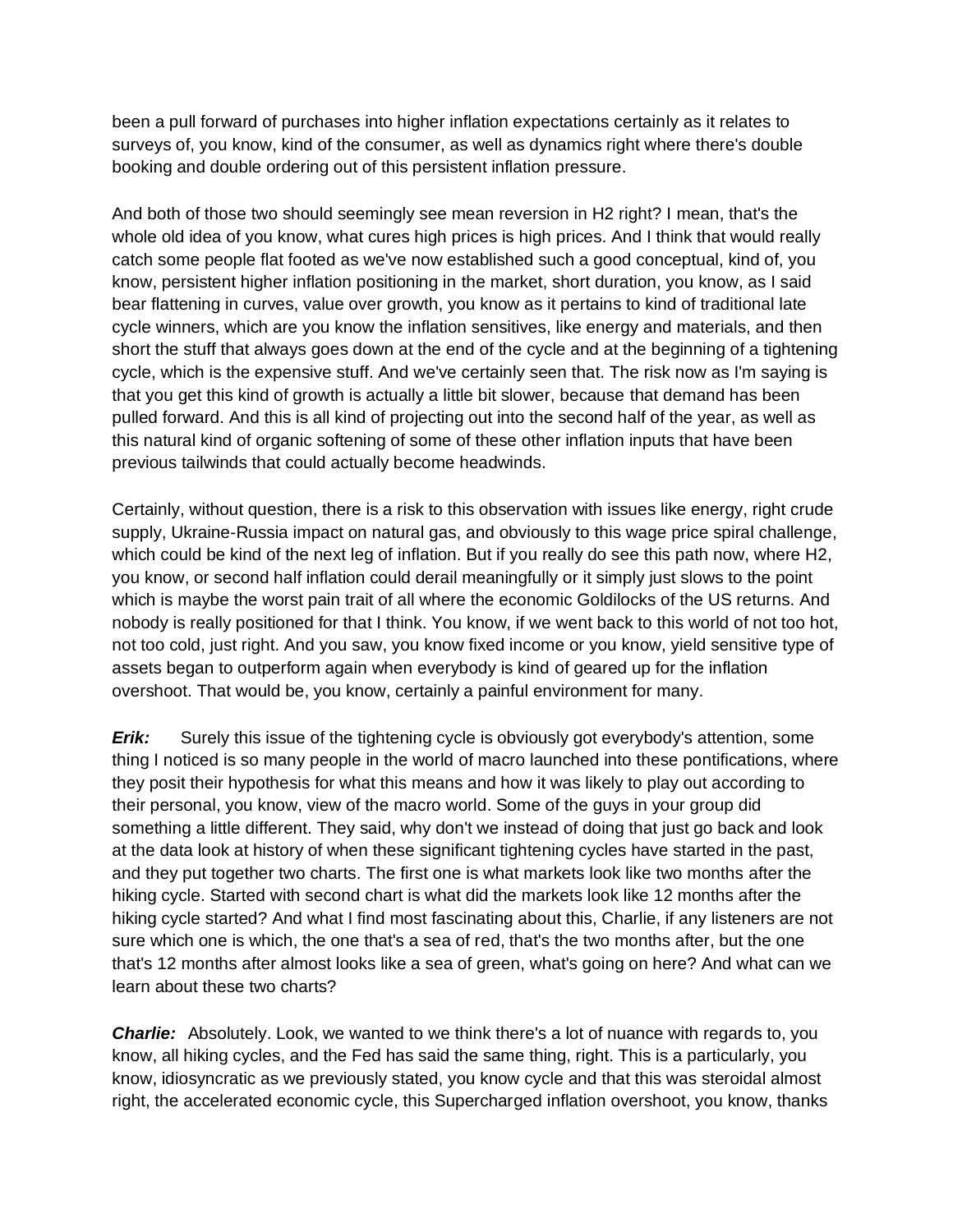been a pull forward of purchases into higher inflation expectations certainly as it relates to surveys of, you know, kind of the consumer, as well as dynamics right where there's double booking and double ordering out of this persistent inflation pressure.

And both of those two should seemingly see mean reversion in H2 right? I mean, that's the whole old idea of you know, what cures high prices is high prices. And I think that would really catch some people flat footed as we've now established such a good conceptual, kind of, you know, persistent higher inflation positioning in the market, short duration, you know, as I said bear flattening in curves, value over growth, you know as it pertains to kind of traditional late cycle winners, which are you know the inflation sensitives, like energy and materials, and then short the stuff that always goes down at the end of the cycle and at the beginning of a tightening cycle, which is the expensive stuff. And we've certainly seen that. The risk now as I'm saying is that you get this kind of growth is actually a little bit slower, because that demand has been pulled forward. And this is all kind of projecting out into the second half of the year, as well as this natural kind of organic softening of some of these other inflation inputs that have been previous tailwinds that could actually become headwinds.

Certainly, without question, there is a risk to this observation with issues like energy, right crude supply, Ukraine-Russia impact on natural gas, and obviously to this wage price spiral challenge, which could be kind of the next leg of inflation. But if you really do see this path now, where H2, you know, or second half inflation could derail meaningfully or it simply just slows to the point which is maybe the worst pain trait of all where the economic Goldilocks of the US returns. And nobody is really positioned for that I think. You know, if we went back to this world of not too hot, not too cold, just right. And you saw, you know fixed income or you know, yield sensitive type of assets began to outperform again when everybody is kind of geared up for the inflation overshoot. That would be, you know, certainly a painful environment for many.

*Erik:* Surely this issue of the tightening cycle is obviously got everybody's attention, some thing I noticed is so many people in the world of macro launched into these pontifications, where they posit their hypothesis for what this means and how it was likely to play out according to their personal, you know, view of the macro world. Some of the guys in your group did something a little different. They said, why don't we instead of doing that just go back and look at the data look at history of when these significant tightening cycles have started in the past, and they put together two charts. The first one is what markets look like two months after the hiking cycle. Started with second chart is what did the markets look like 12 months after the hiking cycle started? And what I find most fascinating about this, Charlie, if any listeners are not sure which one is which, the one that's a sea of red, that's the two months after, but the one that's 12 months after almost looks like a sea of green, what's going on here? And what can we learn about these two charts?

*Charlie:* Absolutely. Look, we wanted to we think there's a lot of nuance with regards to, you know, all hiking cycles, and the Fed has said the same thing, right. This is a particularly, you know, idiosyncratic as we previously stated, you know cycle and that this was steroidal almost right, the accelerated economic cycle, this Supercharged inflation overshoot, you know, thanks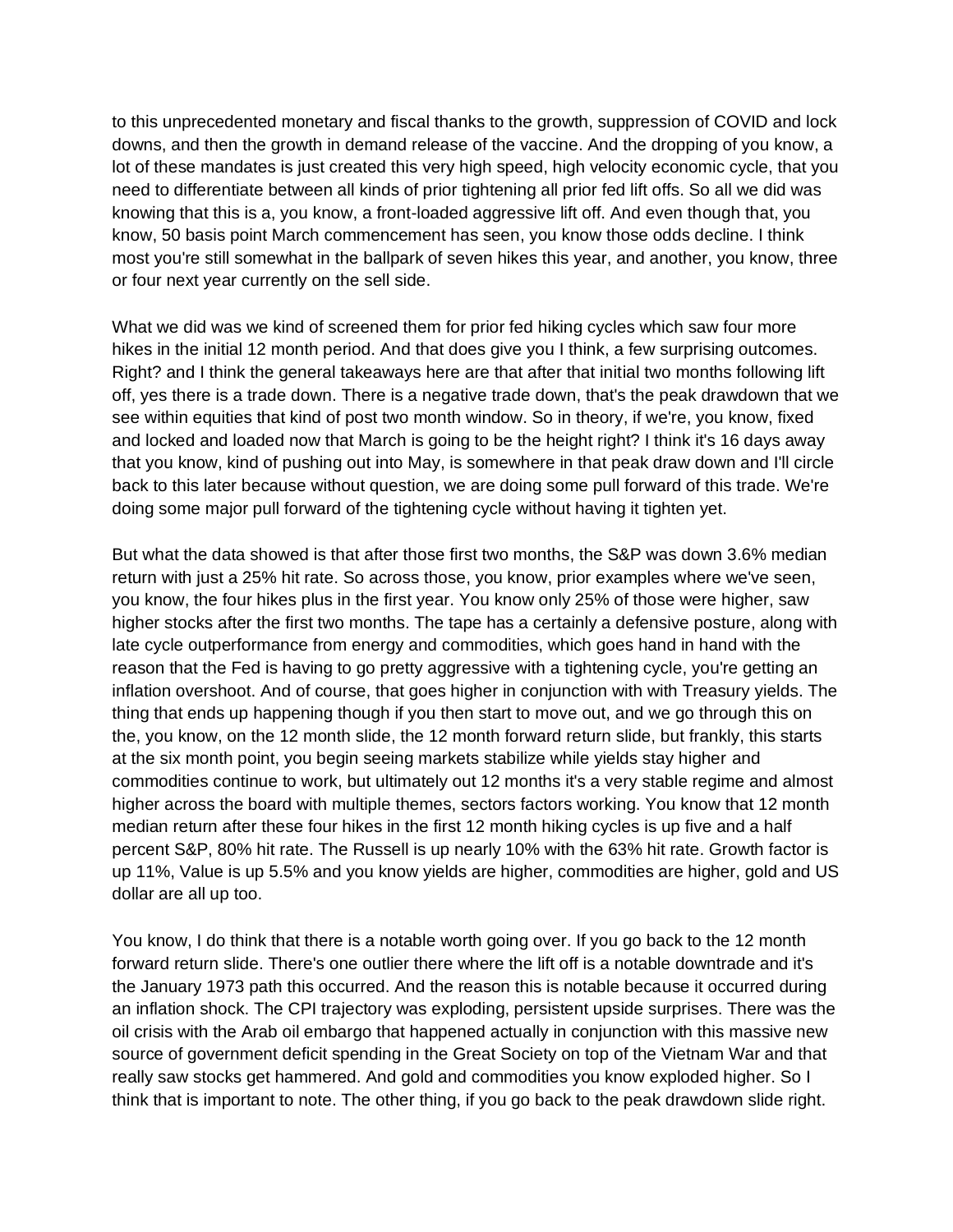to this unprecedented monetary and fiscal thanks to the growth, suppression of COVID and lock downs, and then the growth in demand release of the vaccine. And the dropping of you know, a lot of these mandates is just created this very high speed, high velocity economic cycle, that you need to differentiate between all kinds of prior tightening all prior fed lift offs. So all we did was knowing that this is a, you know, a front-loaded aggressive lift off. And even though that, you know, 50 basis point March commencement has seen, you know those odds decline. I think most you're still somewhat in the ballpark of seven hikes this year, and another, you know, three or four next year currently on the sell side.

What we did was we kind of screened them for prior fed hiking cycles which saw four more hikes in the initial 12 month period. And that does give you I think, a few surprising outcomes. Right? and I think the general takeaways here are that after that initial two months following lift off, yes there is a trade down. There is a negative trade down, that's the peak drawdown that we see within equities that kind of post two month window. So in theory, if we're, you know, fixed and locked and loaded now that March is going to be the height right? I think it's 16 days away that you know, kind of pushing out into May, is somewhere in that peak draw down and I'll circle back to this later because without question, we are doing some pull forward of this trade. We're doing some major pull forward of the tightening cycle without having it tighten yet.

But what the data showed is that after those first two months, the S&P was down 3.6% median return with just a 25% hit rate. So across those, you know, prior examples where we've seen, you know, the four hikes plus in the first year. You know only 25% of those were higher, saw higher stocks after the first two months. The tape has a certainly a defensive posture, along with late cycle outperformance from energy and commodities, which goes hand in hand with the reason that the Fed is having to go pretty aggressive with a tightening cycle, you're getting an inflation overshoot. And of course, that goes higher in conjunction with with Treasury yields. The thing that ends up happening though if you then start to move out, and we go through this on the, you know, on the 12 month slide, the 12 month forward return slide, but frankly, this starts at the six month point, you begin seeing markets stabilize while yields stay higher and commodities continue to work, but ultimately out 12 months it's a very stable regime and almost higher across the board with multiple themes, sectors factors working. You know that 12 month median return after these four hikes in the first 12 month hiking cycles is up five and a half percent S&P, 80% hit rate. The Russell is up nearly 10% with the 63% hit rate. Growth factor is up 11%, Value is up 5.5% and you know yields are higher, commodities are higher, gold and US dollar are all up too.

You know, I do think that there is a notable worth going over. If you go back to the 12 month forward return slide. There's one outlier there where the lift off is a notable downtrade and it's the January 1973 path this occurred. And the reason this is notable because it occurred during an inflation shock. The CPI trajectory was exploding, persistent upside surprises. There was the oil crisis with the Arab oil embargo that happened actually in conjunction with this massive new source of government deficit spending in the Great Society on top of the Vietnam War and that really saw stocks get hammered. And gold and commodities you know exploded higher. So I think that is important to note. The other thing, if you go back to the peak drawdown slide right.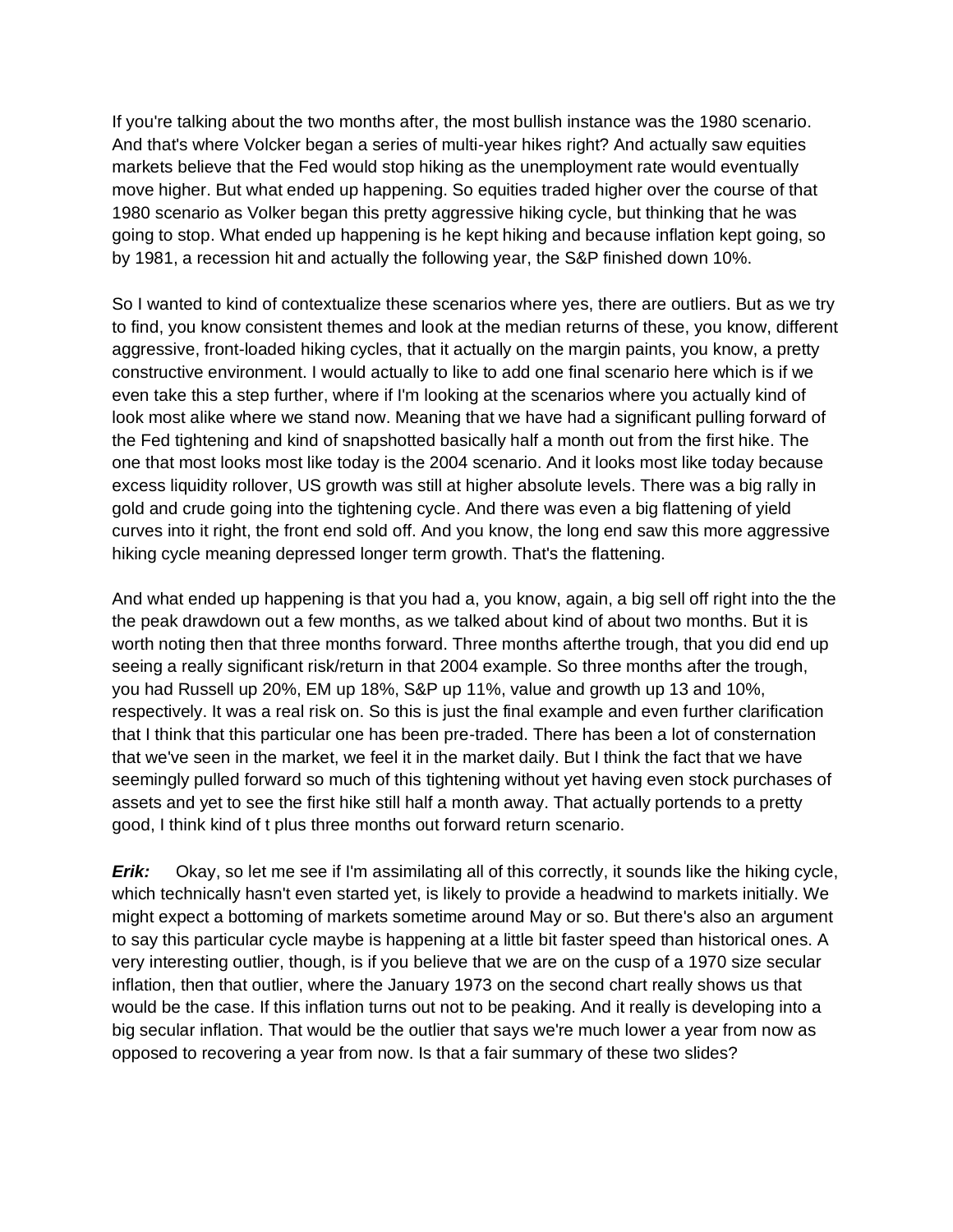If you're talking about the two months after, the most bullish instance was the 1980 scenario. And that's where Volcker began a series of multi-year hikes right? And actually saw equities markets believe that the Fed would stop hiking as the unemployment rate would eventually move higher. But what ended up happening. So equities traded higher over the course of that 1980 scenario as Volker began this pretty aggressive hiking cycle, but thinking that he was going to stop. What ended up happening is he kept hiking and because inflation kept going, so by 1981, a recession hit and actually the following year, the S&P finished down 10%.

So I wanted to kind of contextualize these scenarios where yes, there are outliers. But as we try to find, you know consistent themes and look at the median returns of these, you know, different aggressive, front-loaded hiking cycles, that it actually on the margin paints, you know, a pretty constructive environment. I would actually to like to add one final scenario here which is if we even take this a step further, where if I'm looking at the scenarios where you actually kind of look most alike where we stand now. Meaning that we have had a significant pulling forward of the Fed tightening and kind of snapshotted basically half a month out from the first hike. The one that most looks most like today is the 2004 scenario. And it looks most like today because excess liquidity rollover, US growth was still at higher absolute levels. There was a big rally in gold and crude going into the tightening cycle. And there was even a big flattening of yield curves into it right, the front end sold off. And you know, the long end saw this more aggressive hiking cycle meaning depressed longer term growth. That's the flattening.

And what ended up happening is that you had a, you know, again, a big sell off right into the the the peak drawdown out a few months, as we talked about kind of about two months. But it is worth noting then that three months forward. Three months afterthe trough, that you did end up seeing a really significant risk/return in that 2004 example. So three months after the trough, you had Russell up 20%, EM up 18%, S&P up 11%, value and growth up 13 and 10%, respectively. It was a real risk on. So this is just the final example and even further clarification that I think that this particular one has been pre-traded. There has been a lot of consternation that we've seen in the market, we feel it in the market daily. But I think the fact that we have seemingly pulled forward so much of this tightening without yet having even stock purchases of assets and yet to see the first hike still half a month away. That actually portends to a pretty good, I think kind of t plus three months out forward return scenario.

*Erik:* Okay, so let me see if I'm assimilating all of this correctly, it sounds like the hiking cycle, which technically hasn't even started yet, is likely to provide a headwind to markets initially. We might expect a bottoming of markets sometime around May or so. But there's also an argument to say this particular cycle maybe is happening at a little bit faster speed than historical ones. A very interesting outlier, though, is if you believe that we are on the cusp of a 1970 size secular inflation, then that outlier, where the January 1973 on the second chart really shows us that would be the case. If this inflation turns out not to be peaking. And it really is developing into a big secular inflation. That would be the outlier that says we're much lower a year from now as opposed to recovering a year from now. Is that a fair summary of these two slides?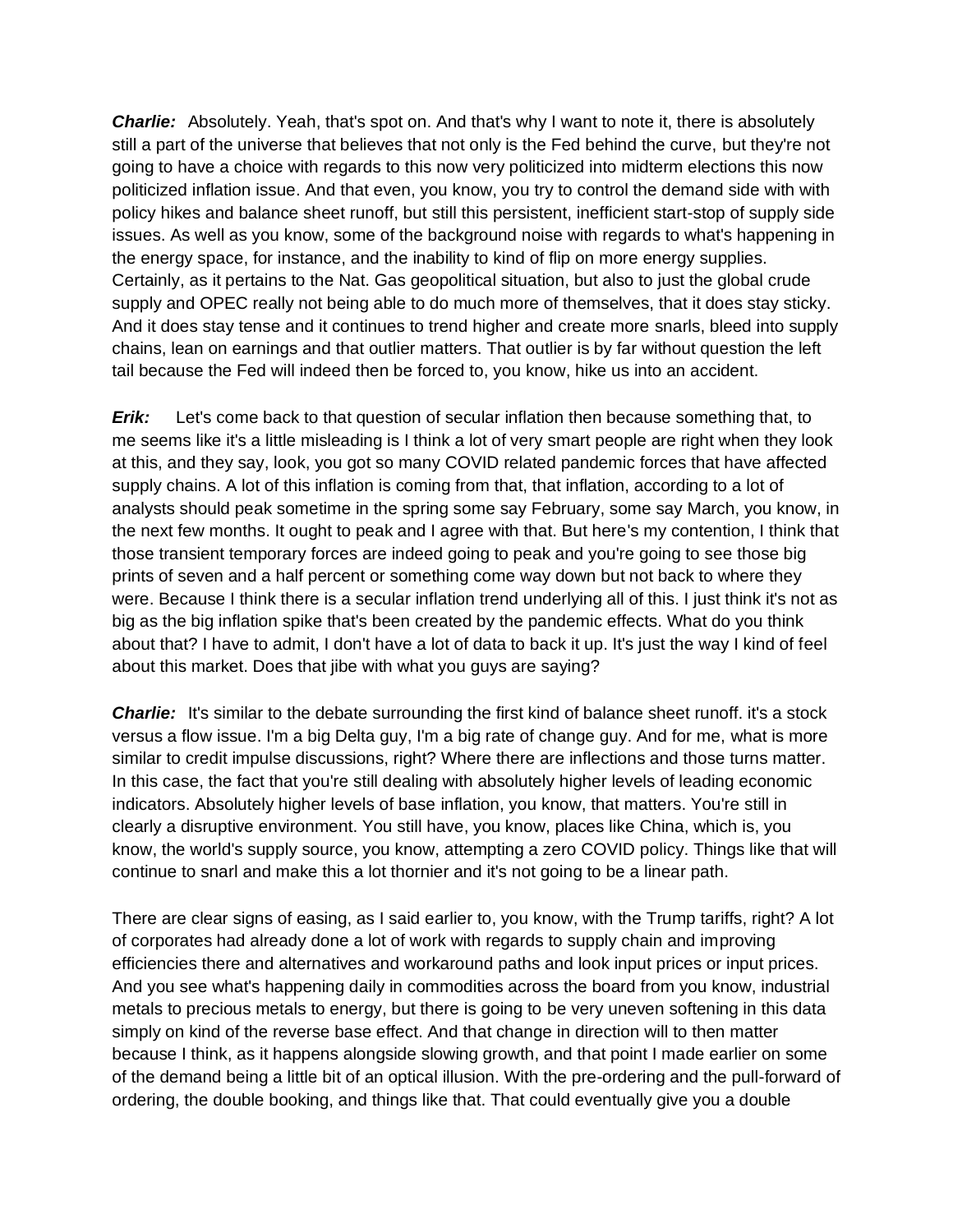**Charlie:** Absolutely. Yeah, that's spot on. And that's why I want to note it, there is absolutely still a part of the universe that believes that not only is the Fed behind the curve, but they're not going to have a choice with regards to this now very politicized into midterm elections this now politicized inflation issue. And that even, you know, you try to control the demand side with with policy hikes and balance sheet runoff, but still this persistent, inefficient start-stop of supply side issues. As well as you know, some of the background noise with regards to what's happening in the energy space, for instance, and the inability to kind of flip on more energy supplies. Certainly, as it pertains to the Nat. Gas geopolitical situation, but also to just the global crude supply and OPEC really not being able to do much more of themselves, that it does stay sticky. And it does stay tense and it continues to trend higher and create more snarls, bleed into supply chains, lean on earnings and that outlier matters. That outlier is by far without question the left tail because the Fed will indeed then be forced to, you know, hike us into an accident.

*Erik:* Let's come back to that question of secular inflation then because something that, to me seems like it's a little misleading is I think a lot of very smart people are right when they look at this, and they say, look, you got so many COVID related pandemic forces that have affected supply chains. A lot of this inflation is coming from that, that inflation, according to a lot of analysts should peak sometime in the spring some say February, some say March, you know, in the next few months. It ought to peak and I agree with that. But here's my contention, I think that those transient temporary forces are indeed going to peak and you're going to see those big prints of seven and a half percent or something come way down but not back to where they were. Because I think there is a secular inflation trend underlying all of this. I just think it's not as big as the big inflation spike that's been created by the pandemic effects. What do you think about that? I have to admit, I don't have a lot of data to back it up. It's just the way I kind of feel about this market. Does that jibe with what you guys are saying?

**Charlie:** It's similar to the debate surrounding the first kind of balance sheet runoff. it's a stock versus a flow issue. I'm a big Delta guy, I'm a big rate of change guy. And for me, what is more similar to credit impulse discussions, right? Where there are inflections and those turns matter. In this case, the fact that you're still dealing with absolutely higher levels of leading economic indicators. Absolutely higher levels of base inflation, you know, that matters. You're still in clearly a disruptive environment. You still have, you know, places like China, which is, you know, the world's supply source, you know, attempting a zero COVID policy. Things like that will continue to snarl and make this a lot thornier and it's not going to be a linear path.

There are clear signs of easing, as I said earlier to, you know, with the Trump tariffs, right? A lot of corporates had already done a lot of work with regards to supply chain and improving efficiencies there and alternatives and workaround paths and look input prices or input prices. And you see what's happening daily in commodities across the board from you know, industrial metals to precious metals to energy, but there is going to be very uneven softening in this data simply on kind of the reverse base effect. And that change in direction will to then matter because I think, as it happens alongside slowing growth, and that point I made earlier on some of the demand being a little bit of an optical illusion. With the pre-ordering and the pull-forward of ordering, the double booking, and things like that. That could eventually give you a double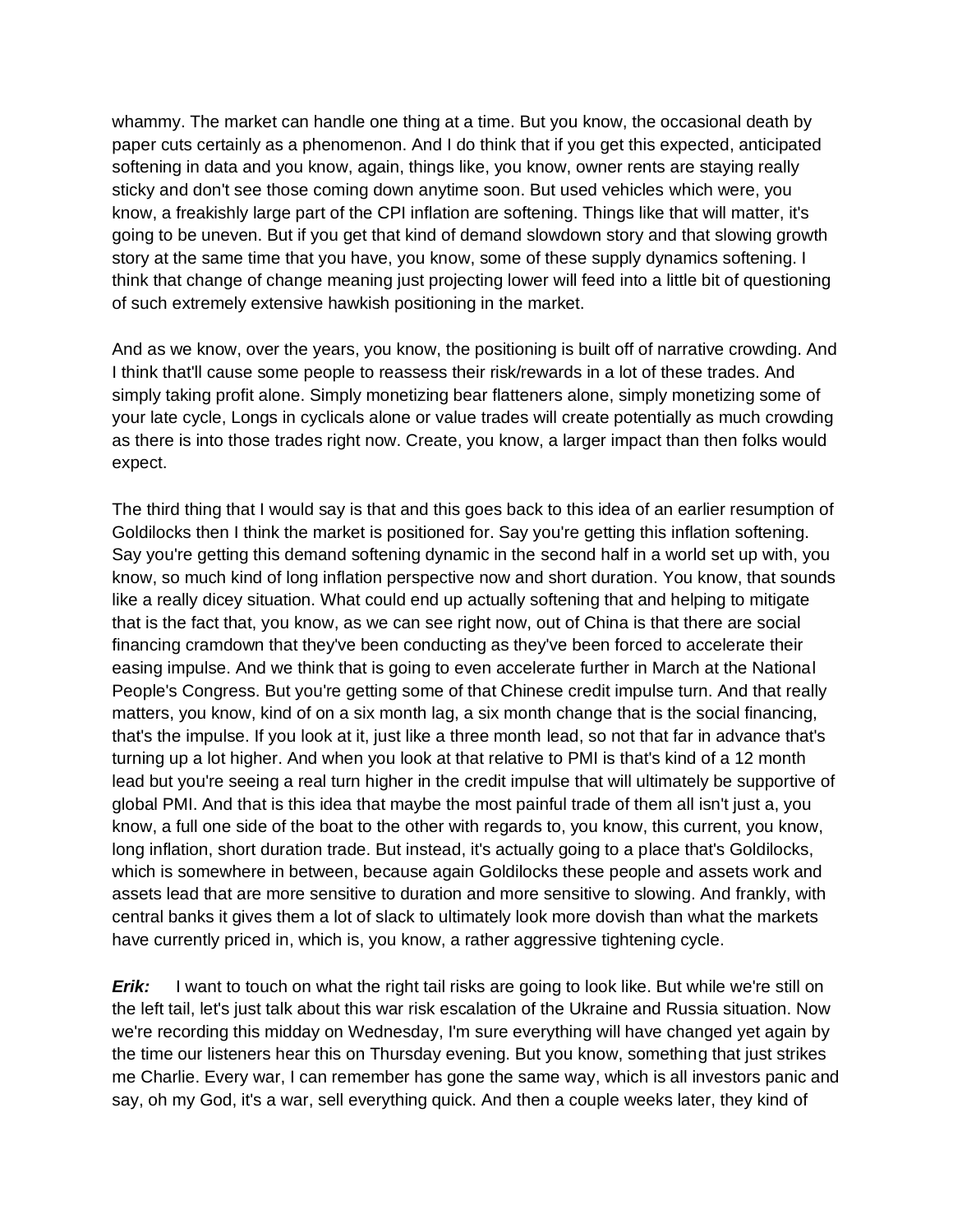whammy. The market can handle one thing at a time. But you know, the occasional death by paper cuts certainly as a phenomenon. And I do think that if you get this expected, anticipated softening in data and you know, again, things like, you know, owner rents are staying really sticky and don't see those coming down anytime soon. But used vehicles which were, you know, a freakishly large part of the CPI inflation are softening. Things like that will matter, it's going to be uneven. But if you get that kind of demand slowdown story and that slowing growth story at the same time that you have, you know, some of these supply dynamics softening. I think that change of change meaning just projecting lower will feed into a little bit of questioning of such extremely extensive hawkish positioning in the market.

And as we know, over the years, you know, the positioning is built off of narrative crowding. And I think that'll cause some people to reassess their risk/rewards in a lot of these trades. And simply taking profit alone. Simply monetizing bear flatteners alone, simply monetizing some of your late cycle, Longs in cyclicals alone or value trades will create potentially as much crowding as there is into those trades right now. Create, you know, a larger impact than then folks would expect.

The third thing that I would say is that and this goes back to this idea of an earlier resumption of Goldilocks then I think the market is positioned for. Say you're getting this inflation softening. Say you're getting this demand softening dynamic in the second half in a world set up with, you know, so much kind of long inflation perspective now and short duration. You know, that sounds like a really dicey situation. What could end up actually softening that and helping to mitigate that is the fact that, you know, as we can see right now, out of China is that there are social financing cramdown that they've been conducting as they've been forced to accelerate their easing impulse. And we think that is going to even accelerate further in March at the National People's Congress. But you're getting some of that Chinese credit impulse turn. And that really matters, you know, kind of on a six month lag, a six month change that is the social financing, that's the impulse. If you look at it, just like a three month lead, so not that far in advance that's turning up a lot higher. And when you look at that relative to PMI is that's kind of a 12 month lead but you're seeing a real turn higher in the credit impulse that will ultimately be supportive of global PMI. And that is this idea that maybe the most painful trade of them all isn't just a, you know, a full one side of the boat to the other with regards to, you know, this current, you know, long inflation, short duration trade. But instead, it's actually going to a place that's Goldilocks, which is somewhere in between, because again Goldilocks these people and assets work and assets lead that are more sensitive to duration and more sensitive to slowing. And frankly, with central banks it gives them a lot of slack to ultimately look more dovish than what the markets have currently priced in, which is, you know, a rather aggressive tightening cycle.

*Erik:* I want to touch on what the right tail risks are going to look like. But while we're still on the left tail, let's just talk about this war risk escalation of the Ukraine and Russia situation. Now we're recording this midday on Wednesday, I'm sure everything will have changed yet again by the time our listeners hear this on Thursday evening. But you know, something that just strikes me Charlie. Every war, I can remember has gone the same way, which is all investors panic and say, oh my God, it's a war, sell everything quick. And then a couple weeks later, they kind of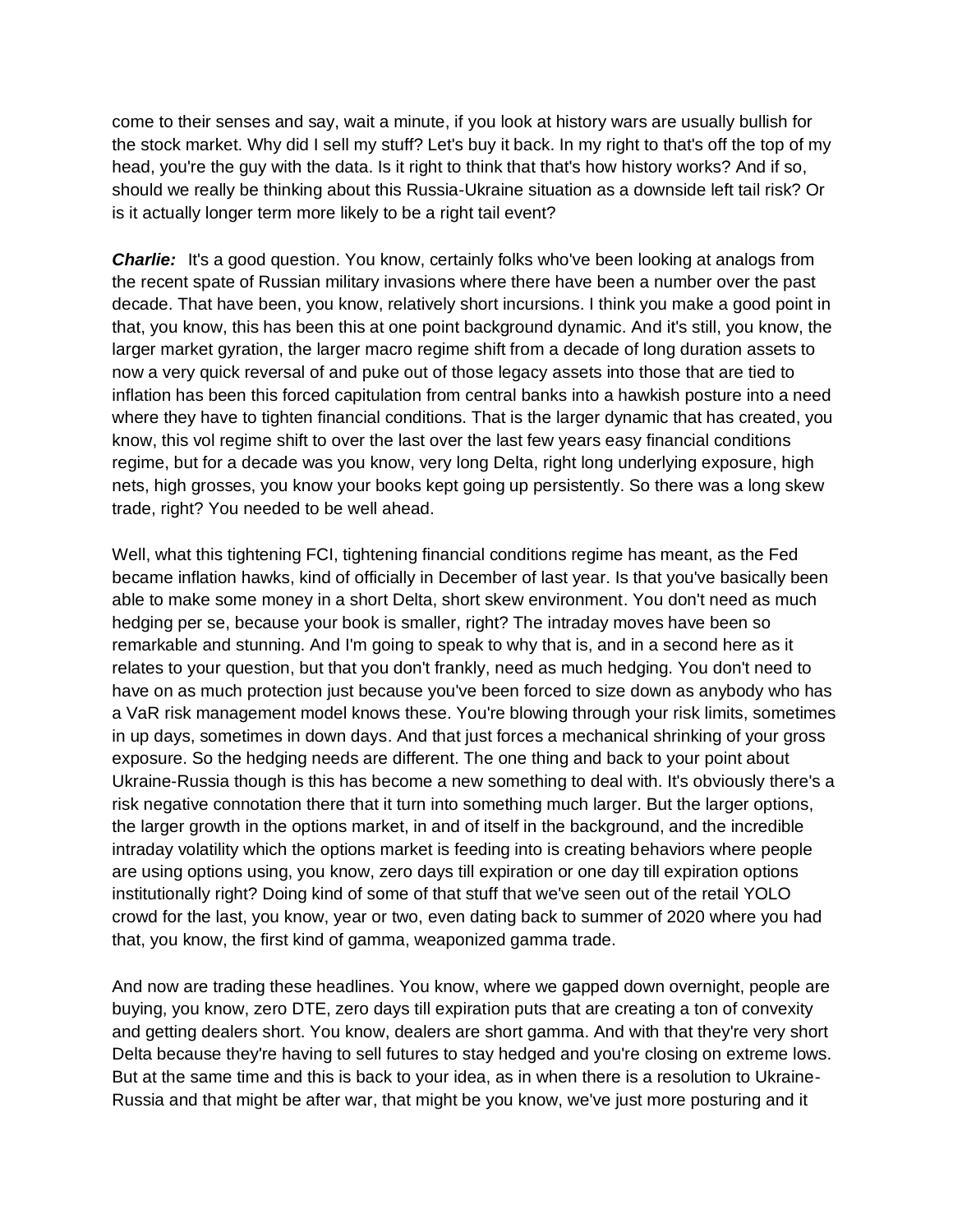come to their senses and say, wait a minute, if you look at history wars are usually bullish for the stock market. Why did I sell my stuff? Let's buy it back. In my right to that's off the top of my head, you're the guy with the data. Is it right to think that that's how history works? And if so, should we really be thinking about this Russia-Ukraine situation as a downside left tail risk? Or is it actually longer term more likely to be a right tail event?

*Charlie:* It's a good question. You know, certainly folks who've been looking at analogs from the recent spate of Russian military invasions where there have been a number over the past decade. That have been, you know, relatively short incursions. I think you make a good point in that, you know, this has been this at one point background dynamic. And it's still, you know, the larger market gyration, the larger macro regime shift from a decade of long duration assets to now a very quick reversal of and puke out of those legacy assets into those that are tied to inflation has been this forced capitulation from central banks into a hawkish posture into a need where they have to tighten financial conditions. That is the larger dynamic that has created, you know, this vol regime shift to over the last over the last few years easy financial conditions regime, but for a decade was you know, very long Delta, right long underlying exposure, high nets, high grosses, you know your books kept going up persistently. So there was a long skew trade, right? You needed to be well ahead.

Well, what this tightening FCI, tightening financial conditions regime has meant, as the Fed became inflation hawks, kind of officially in December of last year. Is that you've basically been able to make some money in a short Delta, short skew environment. You don't need as much hedging per se, because your book is smaller, right? The intraday moves have been so remarkable and stunning. And I'm going to speak to why that is, and in a second here as it relates to your question, but that you don't frankly, need as much hedging. You don't need to have on as much protection just because you've been forced to size down as anybody who has a VaR risk management model knows these. You're blowing through your risk limits, sometimes in up days, sometimes in down days. And that just forces a mechanical shrinking of your gross exposure. So the hedging needs are different. The one thing and back to your point about Ukraine-Russia though is this has become a new something to deal with. It's obviously there's a risk negative connotation there that it turn into something much larger. But the larger options, the larger growth in the options market, in and of itself in the background, and the incredible intraday volatility which the options market is feeding into is creating behaviors where people are using options using, you know, zero days till expiration or one day till expiration options institutionally right? Doing kind of some of that stuff that we've seen out of the retail YOLO crowd for the last, you know, year or two, even dating back to summer of 2020 where you had that, you know, the first kind of gamma, weaponized gamma trade.

And now are trading these headlines. You know, where we gapped down overnight, people are buying, you know, zero DTE, zero days till expiration puts that are creating a ton of convexity and getting dealers short. You know, dealers are short gamma. And with that they're very short Delta because they're having to sell futures to stay hedged and you're closing on extreme lows. But at the same time and this is back to your idea, as in when there is a resolution to Ukraine-Russia and that might be after war, that might be you know, we've just more posturing and it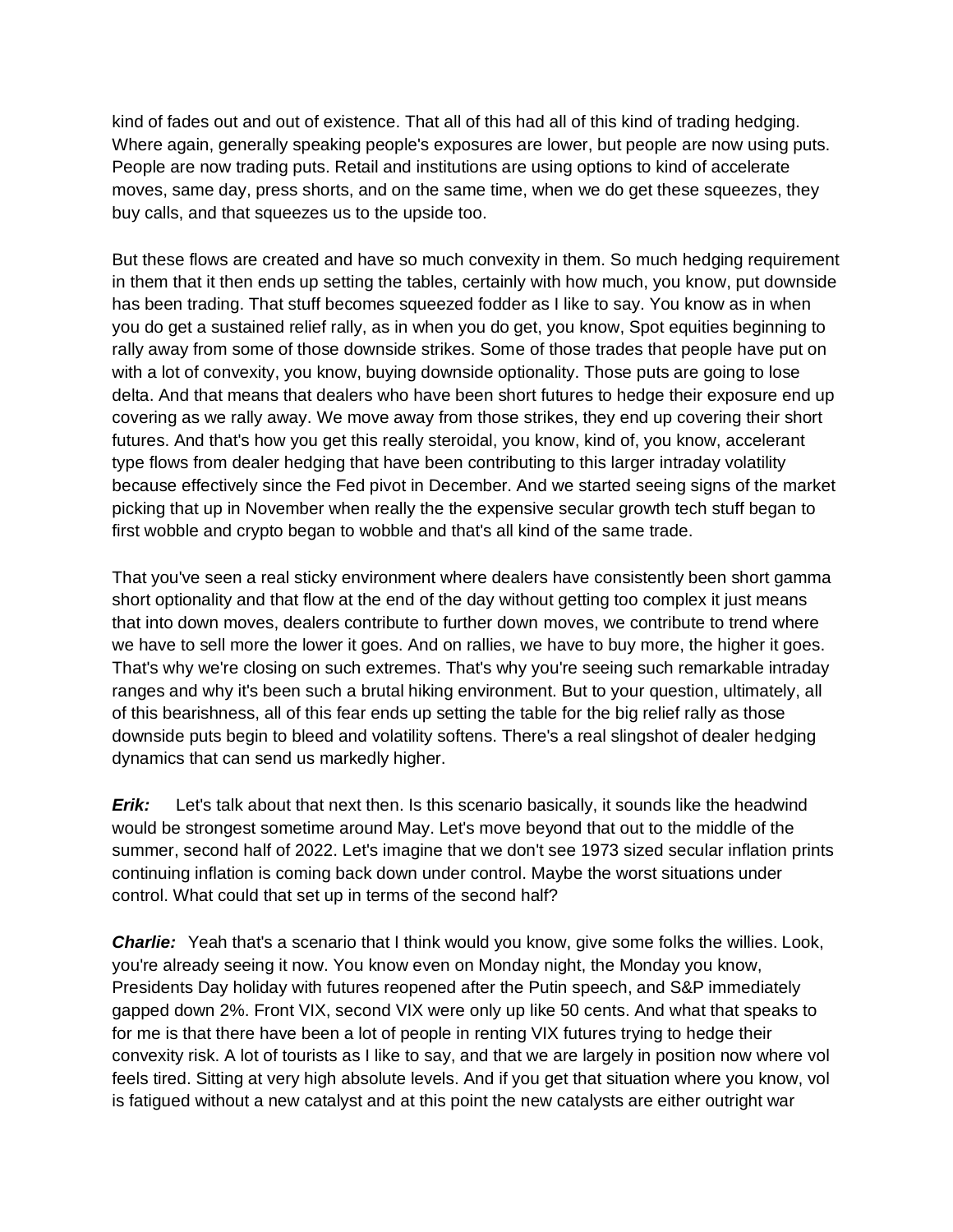kind of fades out and out of existence. That all of this had all of this kind of trading hedging. Where again, generally speaking people's exposures are lower, but people are now using puts. People are now trading puts. Retail and institutions are using options to kind of accelerate moves, same day, press shorts, and on the same time, when we do get these squeezes, they buy calls, and that squeezes us to the upside too.

But these flows are created and have so much convexity in them. So much hedging requirement in them that it then ends up setting the tables, certainly with how much, you know, put downside has been trading. That stuff becomes squeezed fodder as I like to say. You know as in when you do get a sustained relief rally, as in when you do get, you know, Spot equities beginning to rally away from some of those downside strikes. Some of those trades that people have put on with a lot of convexity, you know, buying downside optionality. Those puts are going to lose delta. And that means that dealers who have been short futures to hedge their exposure end up covering as we rally away. We move away from those strikes, they end up covering their short futures. And that's how you get this really steroidal, you know, kind of, you know, accelerant type flows from dealer hedging that have been contributing to this larger intraday volatility because effectively since the Fed pivot in December. And we started seeing signs of the market picking that up in November when really the the expensive secular growth tech stuff began to first wobble and crypto began to wobble and that's all kind of the same trade.

That you've seen a real sticky environment where dealers have consistently been short gamma short optionality and that flow at the end of the day without getting too complex it just means that into down moves, dealers contribute to further down moves, we contribute to trend where we have to sell more the lower it goes. And on rallies, we have to buy more, the higher it goes. That's why we're closing on such extremes. That's why you're seeing such remarkable intraday ranges and why it's been such a brutal hiking environment. But to your question, ultimately, all of this bearishness, all of this fear ends up setting the table for the big relief rally as those downside puts begin to bleed and volatility softens. There's a real slingshot of dealer hedging dynamics that can send us markedly higher.

*Erik:* Let's talk about that next then. Is this scenario basically, it sounds like the headwind would be strongest sometime around May. Let's move beyond that out to the middle of the summer, second half of 2022. Let's imagine that we don't see 1973 sized secular inflation prints continuing inflation is coming back down under control. Maybe the worst situations under control. What could that set up in terms of the second half?

**Charlie:** Yeah that's a scenario that I think would you know, give some folks the willies. Look, you're already seeing it now. You know even on Monday night, the Monday you know, Presidents Day holiday with futures reopened after the Putin speech, and S&P immediately gapped down 2%. Front VIX, second VIX were only up like 50 cents. And what that speaks to for me is that there have been a lot of people in renting VIX futures trying to hedge their convexity risk. A lot of tourists as I like to say, and that we are largely in position now where vol feels tired. Sitting at very high absolute levels. And if you get that situation where you know, vol is fatigued without a new catalyst and at this point the new catalysts are either outright war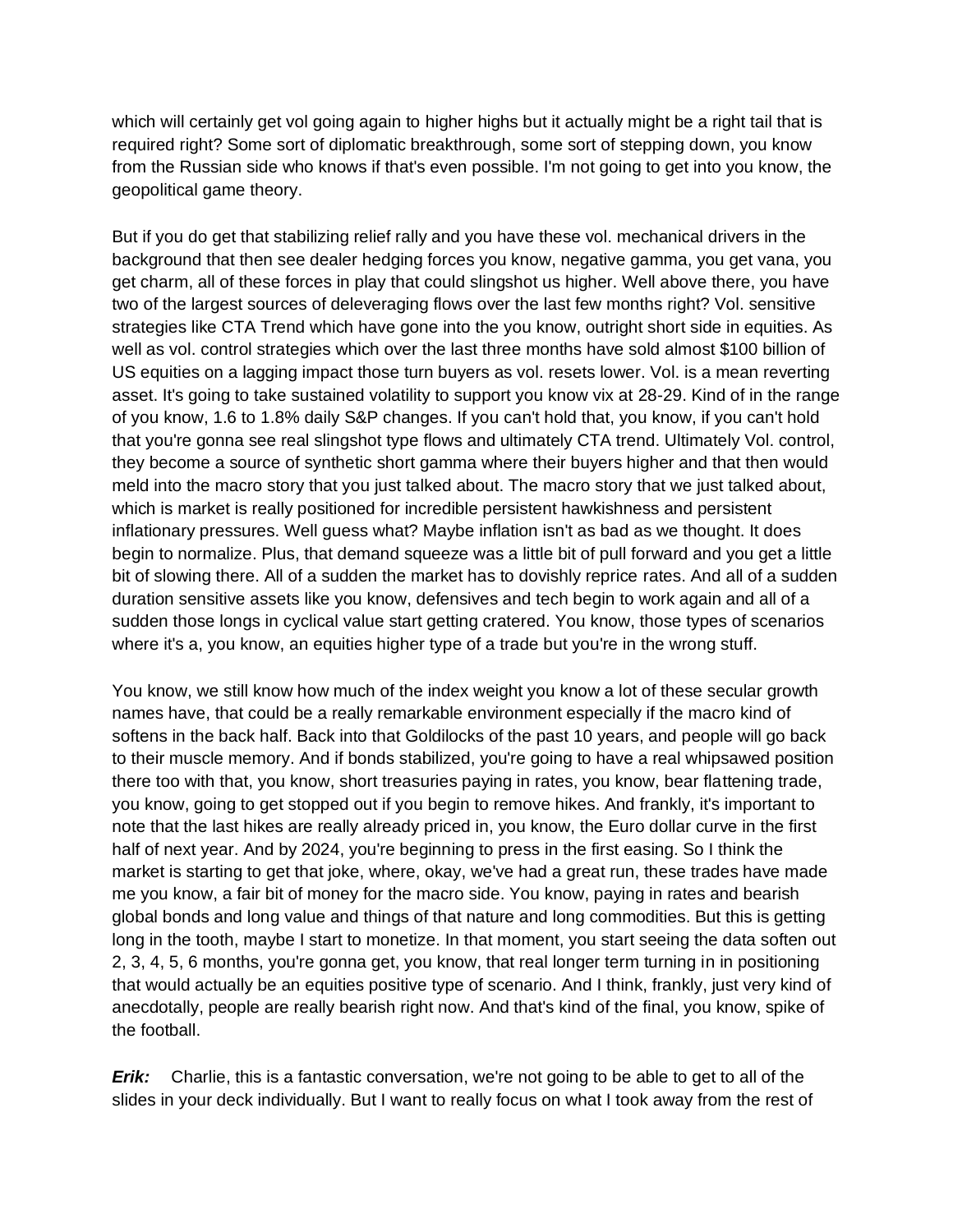which will certainly get vol going again to higher highs but it actually might be a right tail that is required right? Some sort of diplomatic breakthrough, some sort of stepping down, you know from the Russian side who knows if that's even possible. I'm not going to get into you know, the geopolitical game theory.

But if you do get that stabilizing relief rally and you have these vol. mechanical drivers in the background that then see dealer hedging forces you know, negative gamma, you get vana, you get charm, all of these forces in play that could slingshot us higher. Well above there, you have two of the largest sources of deleveraging flows over the last few months right? Vol. sensitive strategies like CTA Trend which have gone into the you know, outright short side in equities. As well as vol. control strategies which over the last three months have sold almost \$100 billion of US equities on a lagging impact those turn buyers as vol. resets lower. Vol. is a mean reverting asset. It's going to take sustained volatility to support you know vix at 28-29. Kind of in the range of you know, 1.6 to 1.8% daily S&P changes. If you can't hold that, you know, if you can't hold that you're gonna see real slingshot type flows and ultimately CTA trend. Ultimately Vol. control, they become a source of synthetic short gamma where their buyers higher and that then would meld into the macro story that you just talked about. The macro story that we just talked about, which is market is really positioned for incredible persistent hawkishness and persistent inflationary pressures. Well guess what? Maybe inflation isn't as bad as we thought. It does begin to normalize. Plus, that demand squeeze was a little bit of pull forward and you get a little bit of slowing there. All of a sudden the market has to dovishly reprice rates. And all of a sudden duration sensitive assets like you know, defensives and tech begin to work again and all of a sudden those longs in cyclical value start getting cratered. You know, those types of scenarios where it's a, you know, an equities higher type of a trade but you're in the wrong stuff.

You know, we still know how much of the index weight you know a lot of these secular growth names have, that could be a really remarkable environment especially if the macro kind of softens in the back half. Back into that Goldilocks of the past 10 years, and people will go back to their muscle memory. And if bonds stabilized, you're going to have a real whipsawed position there too with that, you know, short treasuries paying in rates, you know, bear flattening trade, you know, going to get stopped out if you begin to remove hikes. And frankly, it's important to note that the last hikes are really already priced in, you know, the Euro dollar curve in the first half of next year. And by 2024, you're beginning to press in the first easing. So I think the market is starting to get that joke, where, okay, we've had a great run, these trades have made me you know, a fair bit of money for the macro side. You know, paying in rates and bearish global bonds and long value and things of that nature and long commodities. But this is getting long in the tooth, maybe I start to monetize. In that moment, you start seeing the data soften out 2, 3, 4, 5, 6 months, you're gonna get, you know, that real longer term turning in in positioning that would actually be an equities positive type of scenario. And I think, frankly, just very kind of anecdotally, people are really bearish right now. And that's kind of the final, you know, spike of the football.

*Erik:* Charlie, this is a fantastic conversation, we're not going to be able to get to all of the slides in your deck individually. But I want to really focus on what I took away from the rest of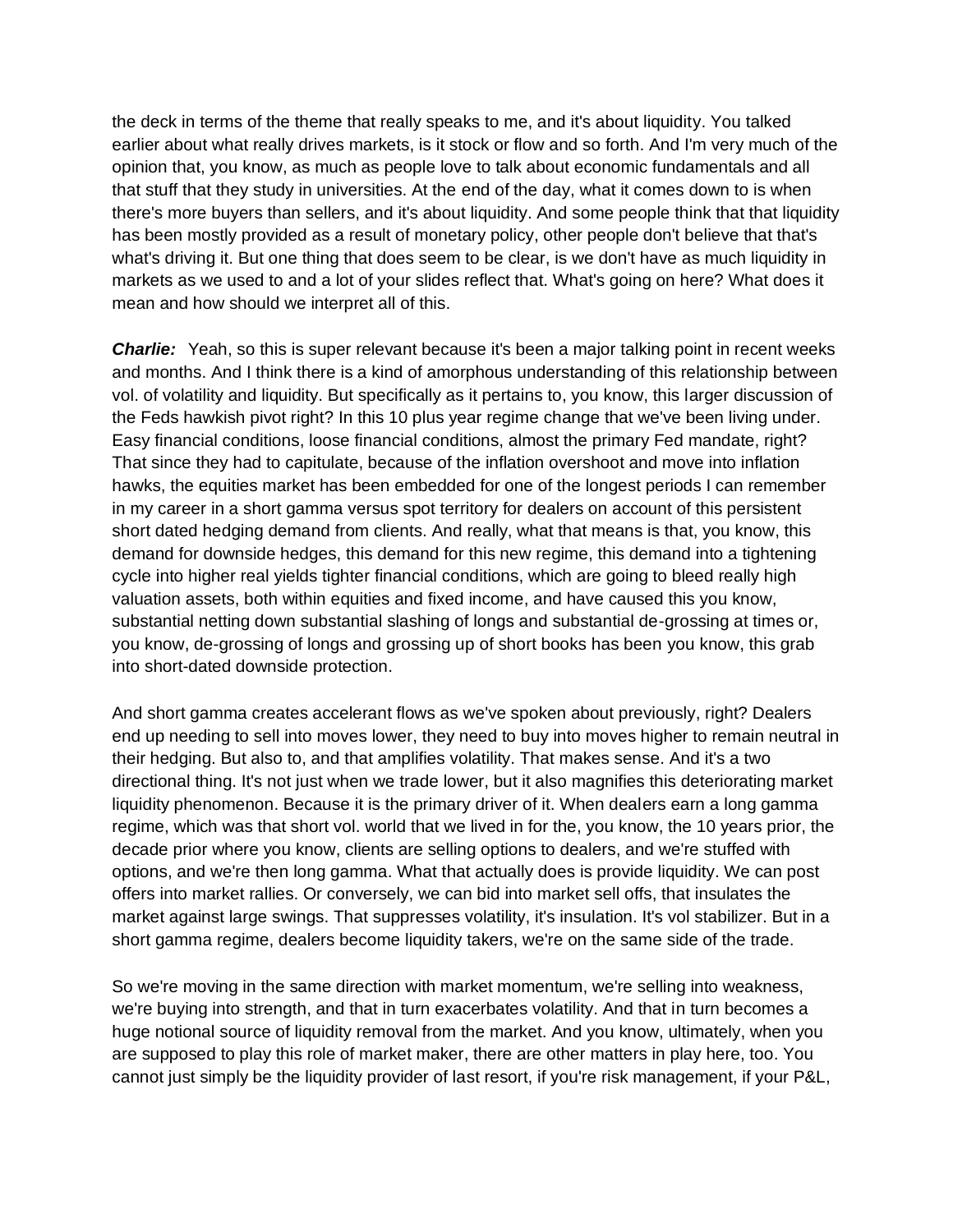the deck in terms of the theme that really speaks to me, and it's about liquidity. You talked earlier about what really drives markets, is it stock or flow and so forth. And I'm very much of the opinion that, you know, as much as people love to talk about economic fundamentals and all that stuff that they study in universities. At the end of the day, what it comes down to is when there's more buyers than sellers, and it's about liquidity. And some people think that that liquidity has been mostly provided as a result of monetary policy, other people don't believe that that's what's driving it. But one thing that does seem to be clear, is we don't have as much liquidity in markets as we used to and a lot of your slides reflect that. What's going on here? What does it mean and how should we interpret all of this.

**Charlie:** Yeah, so this is super relevant because it's been a major talking point in recent weeks and months. And I think there is a kind of amorphous understanding of this relationship between vol. of volatility and liquidity. But specifically as it pertains to, you know, this larger discussion of the Feds hawkish pivot right? In this 10 plus year regime change that we've been living under. Easy financial conditions, loose financial conditions, almost the primary Fed mandate, right? That since they had to capitulate, because of the inflation overshoot and move into inflation hawks, the equities market has been embedded for one of the longest periods I can remember in my career in a short gamma versus spot territory for dealers on account of this persistent short dated hedging demand from clients. And really, what that means is that, you know, this demand for downside hedges, this demand for this new regime, this demand into a tightening cycle into higher real yields tighter financial conditions, which are going to bleed really high valuation assets, both within equities and fixed income, and have caused this you know, substantial netting down substantial slashing of longs and substantial de-grossing at times or, you know, de-grossing of longs and grossing up of short books has been you know, this grab into short-dated downside protection.

And short gamma creates accelerant flows as we've spoken about previously, right? Dealers end up needing to sell into moves lower, they need to buy into moves higher to remain neutral in their hedging. But also to, and that amplifies volatility. That makes sense. And it's a two directional thing. It's not just when we trade lower, but it also magnifies this deteriorating market liquidity phenomenon. Because it is the primary driver of it. When dealers earn a long gamma regime, which was that short vol. world that we lived in for the, you know, the 10 years prior, the decade prior where you know, clients are selling options to dealers, and we're stuffed with options, and we're then long gamma. What that actually does is provide liquidity. We can post offers into market rallies. Or conversely, we can bid into market sell offs, that insulates the market against large swings. That suppresses volatility, it's insulation. It's vol stabilizer. But in a short gamma regime, dealers become liquidity takers, we're on the same side of the trade.

So we're moving in the same direction with market momentum, we're selling into weakness, we're buying into strength, and that in turn exacerbates volatility. And that in turn becomes a huge notional source of liquidity removal from the market. And you know, ultimately, when you are supposed to play this role of market maker, there are other matters in play here, too. You cannot just simply be the liquidity provider of last resort, if you're risk management, if your P&L,